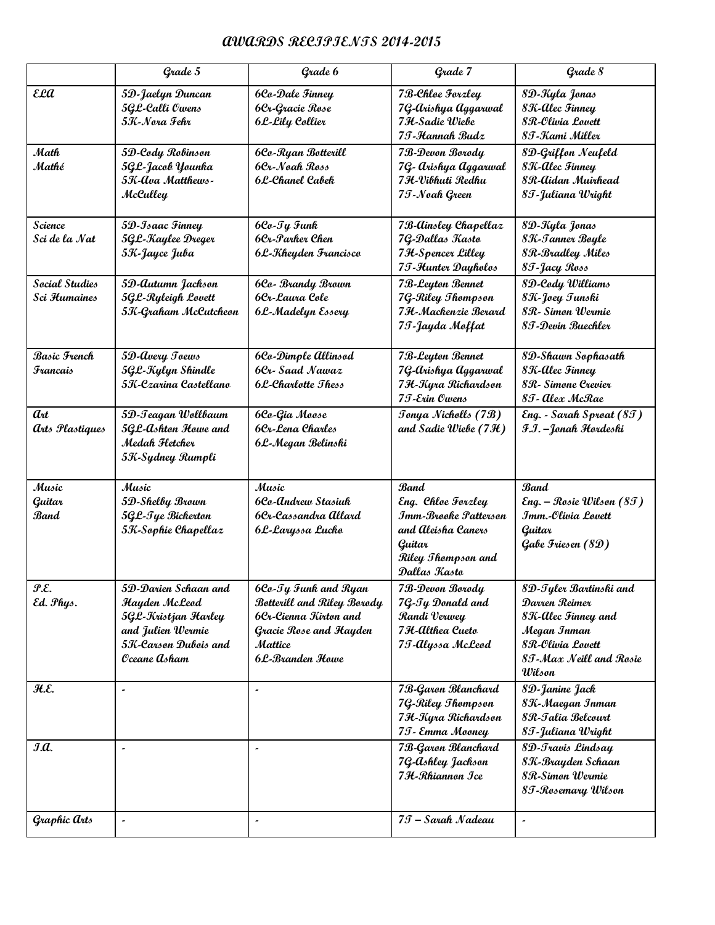## **AWARDS RECIPIENTS 2014-2015**

|                                    | Grade 5                                                                                                                          | Grade 6                                                                                                                                     | Grade 7                                                                                                                         | Grade 8                                                                                                                                |
|------------------------------------|----------------------------------------------------------------------------------------------------------------------------------|---------------------------------------------------------------------------------------------------------------------------------------------|---------------------------------------------------------------------------------------------------------------------------------|----------------------------------------------------------------------------------------------------------------------------------------|
| εea                                | 5D-Jaelyn Duncan<br>5GL-Calli Owens<br>5K-Nora Fehr                                                                              | <b>6Co-Dale Finney</b><br>6Cr-Gracie Rose<br>6L-Lily Collier                                                                                | 7B-Chloe Forzley<br>7G-arishya Aggarwal<br>7 H-Sadie Wiebe<br>7 T-Hannah Budz                                                   | 8D-Kyla Jonas<br>8K-Alec Finney<br>8 R-Olivia Lovett<br>8 T-Kami Miller                                                                |
| Math<br>Mathé                      | 5D-Cody Robinson<br>5GL-Jacob Younka<br>5K-Ava Matthews-<br>McCulley                                                             | 6Co-Ryan Botterill<br>6Cr-Noah Ross<br>6L-Chanel Cabek                                                                                      | 7B-Devon Borody<br>7G- Arishya Aggarwal<br>7 H-Vibhuti Redhu<br>75-Noah Green                                                   | 8D-Griffon Neufeld<br>8K-Alec Finney<br>8 R-Aidan Muirhead<br>8 T - Juliana Wright                                                     |
| Science<br>Sci de la Nat           | 5D-Isaac Finney<br>5GL-Kaylee Dreger<br>5K-Jayce Juba                                                                            | 6Co-Ty Funk<br>6Cr-Parker Chen<br>6L-Kheyden Francisco                                                                                      | 7B-Ainsley Chapellaz<br>7G-Dallas Kasto<br>7 H-Spencer Lilley<br>75-Hunter Dayholos                                             | 8D-Kyla Jonas<br>8K-Tanner Boyle<br>8R-Bradley Miles<br>85-Jacy Ross                                                                   |
| Social Studies<br>Sci Humaines     | 5D-Autumn Jackson<br>5GL-Ryleigh Lovett<br>5K-Graham McCutcheon                                                                  | 6Co- Brandy Brown<br>6Cr-Laura Cole<br>6L-Madelyn Essery                                                                                    | 7 B-Leyton Bennet<br>7G-Riley Thompson<br>7 H-Mackenzie Berard<br>7 T-Jayda Moffat                                              | 8D-Cody Williams<br>8K-Joey Tunski<br>8R - Simon Wermie<br>8 T - Devin Buechler                                                        |
| Basic French<br><b>Francais</b>    | 5D-Avery Toews<br>5GL-Kylyn Shindle<br>5K-Czarina Castellano                                                                     | 6Co-Dimple Allinsod<br>6Cr-Saad Nawaz<br><b>6L-Charlotte Thess</b>                                                                          | 7 B-Leyton Bennet<br>7G-arishya Aggarwal<br>7 H-Kyra Richardson<br>75-Erin Owens                                                | 8D-Shawn Sophasath<br>8K-Alec Finney<br>8R - Simone Crevier<br>8  - Alex McRae                                                         |
| $a_{tt}$<br><b>arts Plastiques</b> | 5D-Teagan Wollbaum<br>5GL-Ashton Howe and<br>Medah Fletcher<br>5K-Sydney Rumpli                                                  | 6Co-Gia Moose<br>6Cr-Lena Charles<br>6L-Megan Belinski                                                                                      | Tonya Nicholls (7B)<br>and Sadie Wiebe $(7\mathcal{H})$                                                                         | Eng. - Sarah Sproat (85)<br>F.I. – Jonah Hordeski                                                                                      |
| Music<br>Guitar<br>Band            | Music<br>5D-Shelby Brown<br>5GL-Tye Bickerton<br>5K-Sophie Chapellaz                                                             | Music<br>6Co-Andrew Stasiuk<br>6Cr-Cassandra Allard<br>6L-Laryssa Lucko                                                                     | <b>Band</b><br>Eng. Chloe Forzley<br>Imm-Brooke Patterson<br>and Aleisha Caners<br>Guitar<br>Riley Thompson and<br>Dallas Kasto | <b>Band</b><br>Eng. – Rosie Wilson (8T)<br>Imm.-Olivia Lovett<br>Guitar<br>Gabe Friesen (8D)                                           |
| Р.Е.<br>Ed. Phys.                  | 5D-Darien Schaan and<br><b>Hayden McLeod</b><br>5GL-Kristjan Harley<br>and Julien Wermie<br>5K-Carson Dubois and<br>Oceane Asham | 6Co-Ty Funk and Ryan<br><b>Botterill and Riley Borody</b><br>6Cr-Cienna Kirton and<br>Gracie Rose and Hayden<br>Mattice<br>6 L-Branden Howe | 7B-Devon Borody<br>7G-Ty Donald and<br>Randi Verwey<br>7 H-Althea Cueto<br>75-Alyssa McLeod                                     | 8D-Tyler Bartinski and<br>Darren Reimer<br>8K-Alec Finney and<br>Megan Inman<br>8 R-Olivia Lovett<br>8 T-Max Neill and Rosie<br>Wilson |
| H.E.                               | $\overline{\phantom{a}}$                                                                                                         |                                                                                                                                             | 7B-Garon Blanchard<br>7G-Riley Thompson<br>7 H-Kyra Richardson<br>7 T - Emma Mooney                                             | 8D-Janine Jack<br>8K-Maegan Inman<br>8R-Talia Belcourt<br>8T-Juliana Wright                                                            |
| J.A.                               | $\tilde{\phantom{a}}$                                                                                                            | $\tilde{\phantom{a}}$                                                                                                                       | 7B-Garon Blanchard<br>7G-Ashley Jackson<br>7 H-Rhiannon Ice                                                                     | 8D-Travis Lindsay<br>8K-Brayden Schaan<br>8R-Simon Wermie<br>8T-Rosemary Wilson                                                        |
| Graphic arts                       |                                                                                                                                  | $\tilde{\phantom{a}}$                                                                                                                       | 75 – Sarah Nadeau                                                                                                               |                                                                                                                                        |